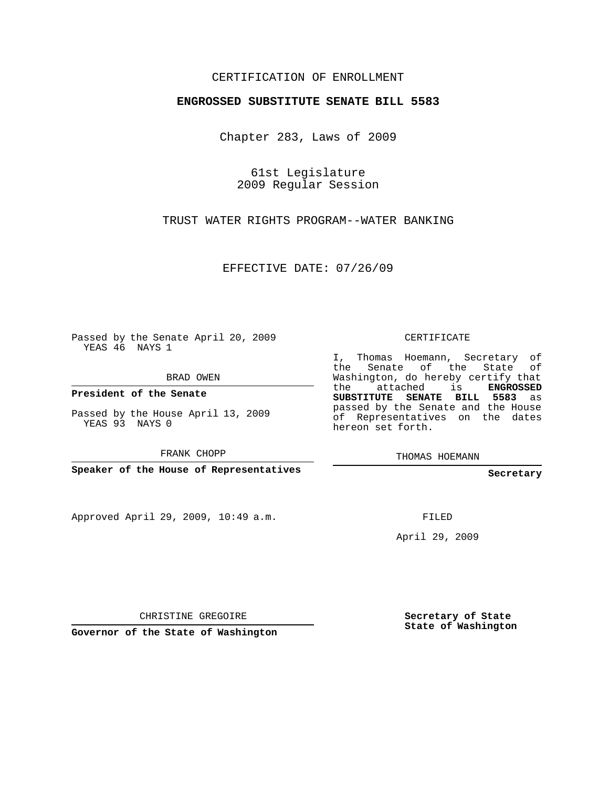## CERTIFICATION OF ENROLLMENT

### **ENGROSSED SUBSTITUTE SENATE BILL 5583**

Chapter 283, Laws of 2009

61st Legislature 2009 Regular Session

TRUST WATER RIGHTS PROGRAM--WATER BANKING

EFFECTIVE DATE: 07/26/09

Passed by the Senate April 20, 2009 YEAS 46 NAYS 1

BRAD OWEN

**President of the Senate**

Passed by the House April 13, 2009 YEAS 93 NAYS 0

FRANK CHOPP

**Speaker of the House of Representatives**

Approved April 29, 2009, 10:49 a.m.

CERTIFICATE

I, Thomas Hoemann, Secretary of the Senate of the State of Washington, do hereby certify that the attached is **ENGROSSED SUBSTITUTE SENATE BILL 5583** as passed by the Senate and the House of Representatives on the dates hereon set forth.

THOMAS HOEMANN

**Secretary**

FILED

April 29, 2009

CHRISTINE GREGOIRE

**Governor of the State of Washington**

**Secretary of State State of Washington**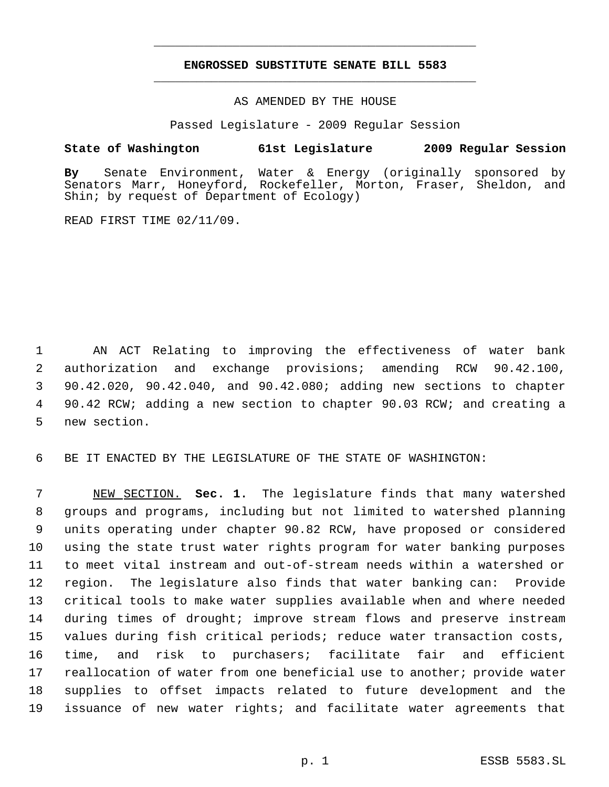# **ENGROSSED SUBSTITUTE SENATE BILL 5583** \_\_\_\_\_\_\_\_\_\_\_\_\_\_\_\_\_\_\_\_\_\_\_\_\_\_\_\_\_\_\_\_\_\_\_\_\_\_\_\_\_\_\_\_\_

\_\_\_\_\_\_\_\_\_\_\_\_\_\_\_\_\_\_\_\_\_\_\_\_\_\_\_\_\_\_\_\_\_\_\_\_\_\_\_\_\_\_\_\_\_

#### AS AMENDED BY THE HOUSE

Passed Legislature - 2009 Regular Session

## **State of Washington 61st Legislature 2009 Regular Session**

**By** Senate Environment, Water & Energy (originally sponsored by Senators Marr, Honeyford, Rockefeller, Morton, Fraser, Sheldon, and Shin; by request of Department of Ecology)

READ FIRST TIME 02/11/09.

 AN ACT Relating to improving the effectiveness of water bank authorization and exchange provisions; amending RCW 90.42.100, 90.42.020, 90.42.040, and 90.42.080; adding new sections to chapter 90.42 RCW; adding a new section to chapter 90.03 RCW; and creating a new section.

BE IT ENACTED BY THE LEGISLATURE OF THE STATE OF WASHINGTON:

 NEW SECTION. **Sec. 1.** The legislature finds that many watershed groups and programs, including but not limited to watershed planning units operating under chapter 90.82 RCW, have proposed or considered using the state trust water rights program for water banking purposes to meet vital instream and out-of-stream needs within a watershed or region. The legislature also finds that water banking can: Provide critical tools to make water supplies available when and where needed during times of drought; improve stream flows and preserve instream values during fish critical periods; reduce water transaction costs, time, and risk to purchasers; facilitate fair and efficient reallocation of water from one beneficial use to another; provide water supplies to offset impacts related to future development and the issuance of new water rights; and facilitate water agreements that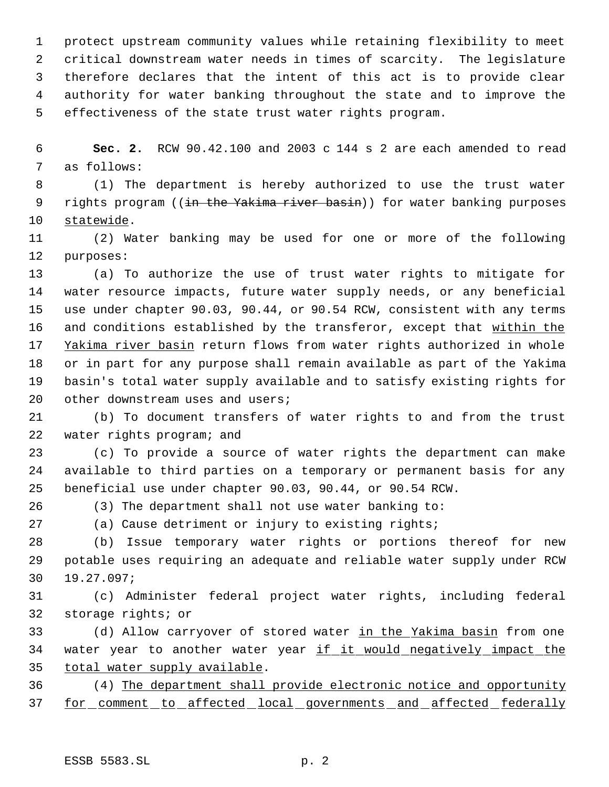protect upstream community values while retaining flexibility to meet critical downstream water needs in times of scarcity. The legislature therefore declares that the intent of this act is to provide clear authority for water banking throughout the state and to improve the effectiveness of the state trust water rights program.

 **Sec. 2.** RCW 90.42.100 and 2003 c 144 s 2 are each amended to read as follows:

 (1) The department is hereby authorized to use the trust water 9 rights program ((in the Yakima river basin)) for water banking purposes statewide.

 (2) Water banking may be used for one or more of the following purposes:

 (a) To authorize the use of trust water rights to mitigate for water resource impacts, future water supply needs, or any beneficial use under chapter 90.03, 90.44, or 90.54 RCW, consistent with any terms 16 and conditions established by the transferor, except that within the 17 Yakima river basin return flows from water rights authorized in whole or in part for any purpose shall remain available as part of the Yakima basin's total water supply available and to satisfy existing rights for 20 other downstream uses and users;

 (b) To document transfers of water rights to and from the trust water rights program; and

 (c) To provide a source of water rights the department can make available to third parties on a temporary or permanent basis for any beneficial use under chapter 90.03, 90.44, or 90.54 RCW.

(3) The department shall not use water banking to:

(a) Cause detriment or injury to existing rights;

 (b) Issue temporary water rights or portions thereof for new potable uses requiring an adequate and reliable water supply under RCW 19.27.097;

 (c) Administer federal project water rights, including federal storage rights; or

33 (d) Allow carryover of stored water in the Yakima basin from one 34 water year to another water year if it would negatively impact the total water supply available.

 (4) The department shall provide electronic notice and opportunity 37 for comment to affected local governments and affected federally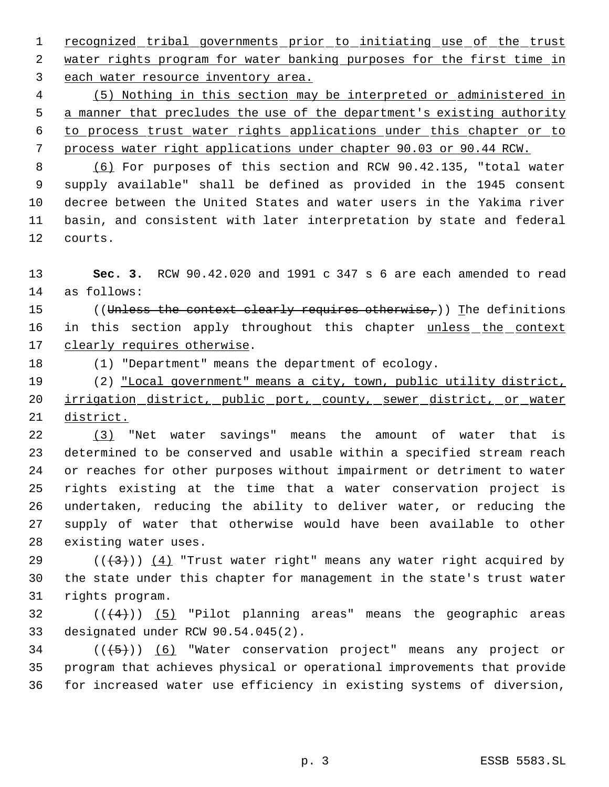recognized tribal governments prior to initiating use of the trust 2 water rights program for water banking purposes for the first time in each water resource inventory area.

 (5) Nothing in this section may be interpreted or administered in 5 a manner that precludes the use of the department's existing authority to process trust water rights applications under this chapter or to process water right applications under chapter 90.03 or 90.44 RCW.

 (6) For purposes of this section and RCW 90.42.135, "total water supply available" shall be defined as provided in the 1945 consent decree between the United States and water users in the Yakima river basin, and consistent with later interpretation by state and federal courts.

 **Sec. 3.** RCW 90.42.020 and 1991 c 347 s 6 are each amended to read as follows:

15 ((Unless the context clearly requires otherwise,)) The definitions 16 in this section apply throughout this chapter unless the context clearly requires otherwise.

(1) "Department" means the department of ecology.

 (2) "Local government" means a city, town, public utility district, 20 irrigation district, public port, county, sewer district, or water district.

 (3) "Net water savings" means the amount of water that is determined to be conserved and usable within a specified stream reach or reaches for other purposes without impairment or detriment to water rights existing at the time that a water conservation project is undertaken, reducing the ability to deliver water, or reducing the supply of water that otherwise would have been available to other existing water uses.

29 ( $(\langle 3 \rangle)$ ) (4) "Trust water right" means any water right acquired by the state under this chapter for management in the state's trust water rights program.

32  $((+4))$   $(5)$  "Pilot planning areas" means the geographic areas designated under RCW 90.54.045(2).

 ( $(\overline{5})$ ) (6) "Water conservation project" means any project or program that achieves physical or operational improvements that provide for increased water use efficiency in existing systems of diversion,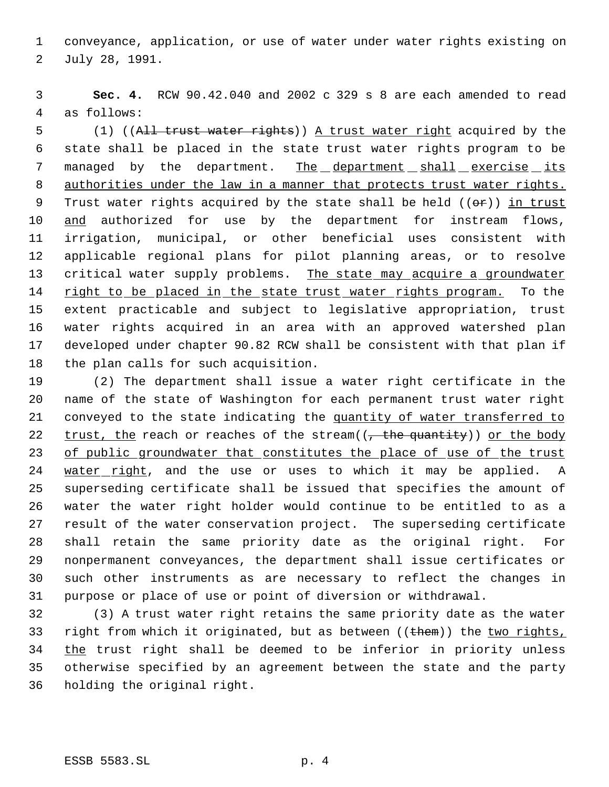conveyance, application, or use of water under water rights existing on July 28, 1991.

 **Sec. 4.** RCW 90.42.040 and 2002 c 329 s 8 are each amended to read as follows:

 (1) ((All trust water rights)) A trust water right acquired by the state shall be placed in the state trust water rights program to be 7 managed by the department. The department shall exercise its authorities under the law in a manner that protects trust water rights. 9 Trust water rights acquired by the state shall be held ((or)) in trust 10 and authorized for use by the department for instream flows, irrigation, municipal, or other beneficial uses consistent with applicable regional plans for pilot planning areas, or to resolve critical water supply problems. The state may acquire a groundwater 14 right to be placed in the state trust water rights program. To the extent practicable and subject to legislative appropriation, trust water rights acquired in an area with an approved watershed plan developed under chapter 90.82 RCW shall be consistent with that plan if the plan calls for such acquisition.

 (2) The department shall issue a water right certificate in the name of the state of Washington for each permanent trust water right 21 conveyed to the state indicating the quantity of water transferred to 22 trust, the reach or reaches of the stream( $(-t + h$ e quantity)) or the body 23 of public groundwater that constitutes the place of use of the trust 24 water\_right, and the use or uses to which it may be applied. A superseding certificate shall be issued that specifies the amount of water the water right holder would continue to be entitled to as a result of the water conservation project. The superseding certificate shall retain the same priority date as the original right. For nonpermanent conveyances, the department shall issue certificates or such other instruments as are necessary to reflect the changes in purpose or place of use or point of diversion or withdrawal.

 (3) A trust water right retains the same priority date as the water 33 right from which it originated, but as between ((them)) the two rights, 34 the trust right shall be deemed to be inferior in priority unless otherwise specified by an agreement between the state and the party holding the original right.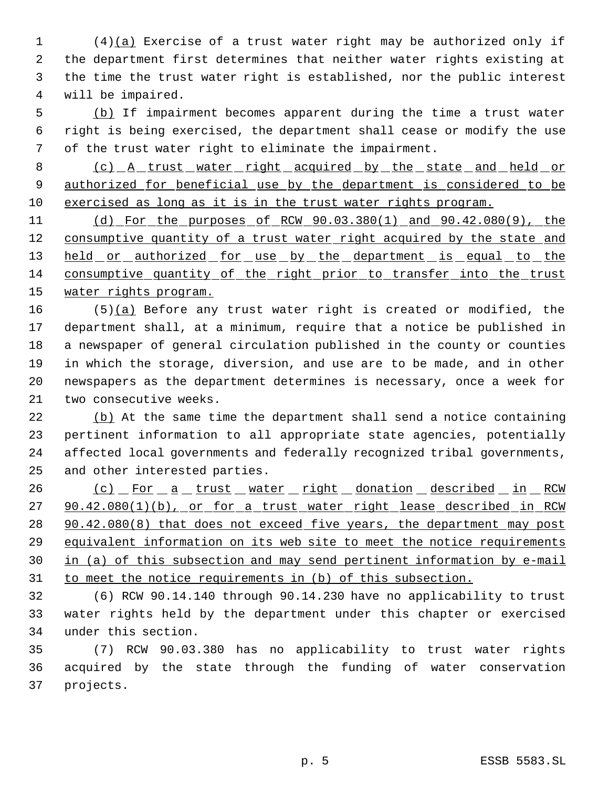1 (4) $(a)$  Exercise of a trust water right may be authorized only if the department first determines that neither water rights existing at the time the trust water right is established, nor the public interest will be impaired.

 (b) If impairment becomes apparent during the time a trust water right is being exercised, the department shall cease or modify the use of the trust water right to eliminate the impairment.

8 (c) A trust water right acquired by the state and held or 9 authorized for beneficial use by the department is considered to be exercised as long as it is in the trust water rights program.

 (d) For the purposes of RCW 90.03.380(1) and 90.42.080(9), the 12 consumptive quantity of a trust water right acquired by the state and 13 held or authorized for use by the department is equal to the consumptive quantity of the right prior to transfer into the trust 15 water rights program.

 (5)(a) Before any trust water right is created or modified, the department shall, at a minimum, require that a notice be published in a newspaper of general circulation published in the county or counties in which the storage, diversion, and use are to be made, and in other newspapers as the department determines is necessary, once a week for two consecutive weeks.

 (b) At the same time the department shall send a notice containing pertinent information to all appropriate state agencies, potentially affected local governments and federally recognized tribal governments, and other interested parties.

26 (c) For a trust water right donation described in RCW 27 90.42.080(1)(b), or for a trust water right lease described in RCW 28 90.42.080(8) that does not exceed five years, the department may post equivalent information on its web site to meet the notice requirements in (a) of this subsection and may send pertinent information by e-mail to meet the notice requirements in (b) of this subsection.

 (6) RCW 90.14.140 through 90.14.230 have no applicability to trust water rights held by the department under this chapter or exercised under this section.

 (7) RCW 90.03.380 has no applicability to trust water rights acquired by the state through the funding of water conservation projects.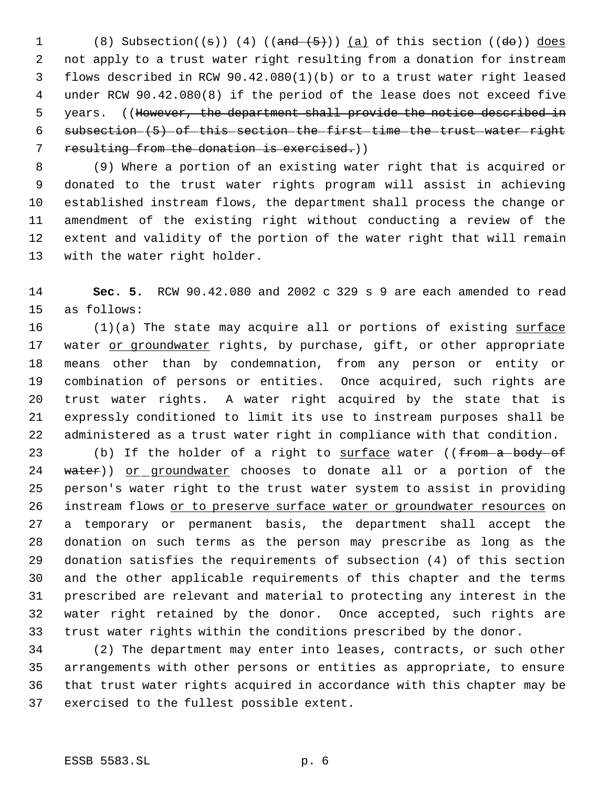1 (8) Subsection((s)) (4) (( $\frac{1}{\text{and } (\text{5})}$ ) (a) of this section (( $\frac{1}{\text{do}}$ ))  $\frac{1}{\text{does}}$  not apply to a trust water right resulting from a donation for instream flows described in RCW 90.42.080(1)(b) or to a trust water right leased under RCW 90.42.080(8) if the period of the lease does not exceed five 5 years. ((However, the department shall provide the notice described in subsection (5) of this section the first time the trust water right 7 resulting from the donation is exercised.)

 (9) Where a portion of an existing water right that is acquired or donated to the trust water rights program will assist in achieving established instream flows, the department shall process the change or amendment of the existing right without conducting a review of the extent and validity of the portion of the water right that will remain with the water right holder.

 **Sec. 5.** RCW 90.42.080 and 2002 c 329 s 9 are each amended to read as follows:

16 (1)(a) The state may acquire all or portions of existing surface water or groundwater rights, by purchase, gift, or other appropriate means other than by condemnation, from any person or entity or combination of persons or entities. Once acquired, such rights are trust water rights. A water right acquired by the state that is expressly conditioned to limit its use to instream purposes shall be administered as a trust water right in compliance with that condition.

23 (b) If the holder of a right to surface water ((from a body of 24 water)) or groundwater chooses to donate all or a portion of the person's water right to the trust water system to assist in providing 26 instream flows or to preserve surface water or groundwater resources on a temporary or permanent basis, the department shall accept the donation on such terms as the person may prescribe as long as the donation satisfies the requirements of subsection (4) of this section and the other applicable requirements of this chapter and the terms prescribed are relevant and material to protecting any interest in the water right retained by the donor. Once accepted, such rights are trust water rights within the conditions prescribed by the donor.

 (2) The department may enter into leases, contracts, or such other arrangements with other persons or entities as appropriate, to ensure that trust water rights acquired in accordance with this chapter may be exercised to the fullest possible extent.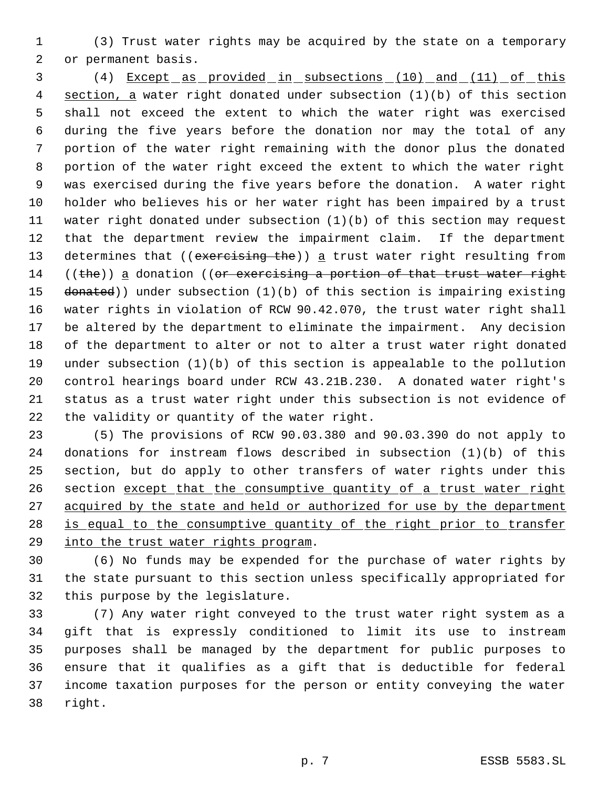(3) Trust water rights may be acquired by the state on a temporary or permanent basis.

 (4) Except as provided in subsections (10) and (11) of this 4 section, a water right donated under subsection (1)(b) of this section shall not exceed the extent to which the water right was exercised during the five years before the donation nor may the total of any portion of the water right remaining with the donor plus the donated portion of the water right exceed the extent to which the water right was exercised during the five years before the donation. A water right holder who believes his or her water right has been impaired by a trust water right donated under subsection (1)(b) of this section may request that the department review the impairment claim. If the department 13 determines that ((exercising the)) a trust water right resulting from 14 ((the)) a donation ((or exercising a portion of that trust water right 15 donated)) under subsection (1)(b) of this section is impairing existing water rights in violation of RCW 90.42.070, the trust water right shall be altered by the department to eliminate the impairment. Any decision of the department to alter or not to alter a trust water right donated under subsection (1)(b) of this section is appealable to the pollution control hearings board under RCW 43.21B.230. A donated water right's status as a trust water right under this subsection is not evidence of the validity or quantity of the water right.

 (5) The provisions of RCW 90.03.380 and 90.03.390 do not apply to donations for instream flows described in subsection (1)(b) of this section, but do apply to other transfers of water rights under this 26 section except that the consumptive quantity of a trust water right 27 acquired by the state and held or authorized for use by the department 28 is equal to the consumptive quantity of the right prior to transfer 29 into the trust water rights program.

 (6) No funds may be expended for the purchase of water rights by the state pursuant to this section unless specifically appropriated for this purpose by the legislature.

 (7) Any water right conveyed to the trust water right system as a gift that is expressly conditioned to limit its use to instream purposes shall be managed by the department for public purposes to ensure that it qualifies as a gift that is deductible for federal income taxation purposes for the person or entity conveying the water right.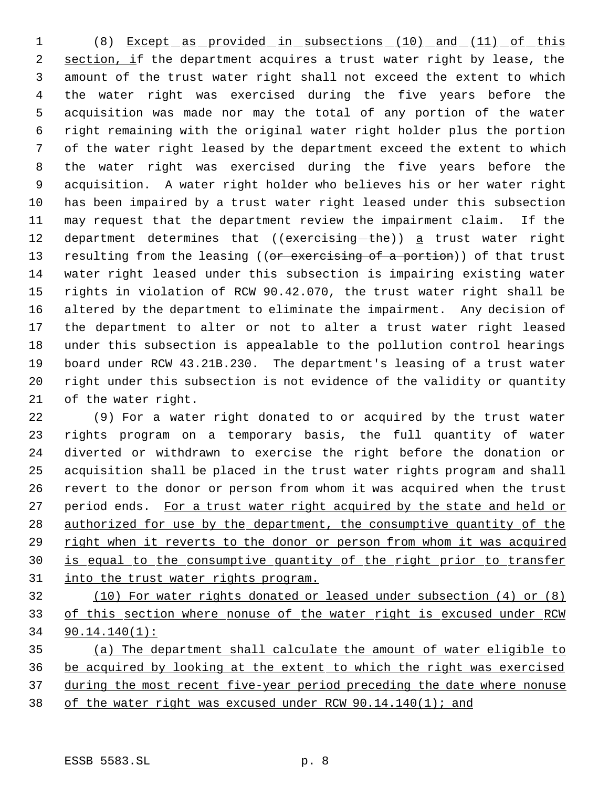(8) Except as provided in subsections (10) and (11) of this 2 section, if the department acquires a trust water right by lease, the amount of the trust water right shall not exceed the extent to which the water right was exercised during the five years before the acquisition was made nor may the total of any portion of the water right remaining with the original water right holder plus the portion of the water right leased by the department exceed the extent to which the water right was exercised during the five years before the acquisition. A water right holder who believes his or her water right has been impaired by a trust water right leased under this subsection may request that the department review the impairment claim. If the 12 department determines that ((exercising-the)) a trust water right 13 resulting from the leasing ((or exercising of a portion)) of that trust water right leased under this subsection is impairing existing water rights in violation of RCW 90.42.070, the trust water right shall be altered by the department to eliminate the impairment. Any decision of the department to alter or not to alter a trust water right leased under this subsection is appealable to the pollution control hearings board under RCW 43.21B.230. The department's leasing of a trust water right under this subsection is not evidence of the validity or quantity of the water right.

 (9) For a water right donated to or acquired by the trust water rights program on a temporary basis, the full quantity of water diverted or withdrawn to exercise the right before the donation or acquisition shall be placed in the trust water rights program and shall revert to the donor or person from whom it was acquired when the trust 27 period ends. For a trust water right acquired by the state and held or 28 authorized for use by the department, the consumptive quantity of the 29 right when it reverts to the donor or person from whom it was acquired is equal to the consumptive quantity of the right prior to transfer into the trust water rights program.

- (10) For water rights donated or leased under subsection (4) or (8) of this section where nonuse of the water right is excused under RCW 90.14.140(1):
- (a) The department shall calculate the amount of water eligible to be acquired by looking at the extent to which the right was exercised during the most recent five-year period preceding the date where nonuse 38 of the water right was excused under RCW 90.14.140(1); and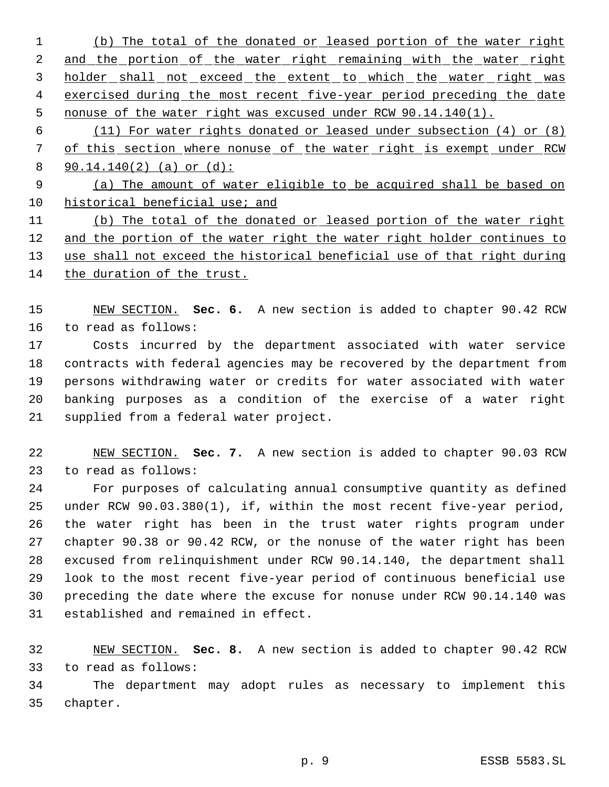1 (b) The total of the donated or leased portion of the water right 2 and the portion of the water right remaining with the water right 3 holder shall not exceed the extent to which the water right was 4 exercised during the most recent five-year period preceding the date 5 nonuse of the water right was excused under RCW 90.14.140(1).

 (11) For water rights donated or leased under subsection (4) or (8) 7 of this section where nonuse of the water right is exempt under RCW 90.14.140(2) (a) or (d):

 (a) The amount of water eligible to be acquired shall be based on historical beneficial use; and

 (b) The total of the donated or leased portion of the water right and the portion of the water right the water right holder continues to use shall not exceed the historical beneficial use of that right during the duration of the trust.

 NEW SECTION. **Sec. 6.** A new section is added to chapter 90.42 RCW to read as follows:

 Costs incurred by the department associated with water service contracts with federal agencies may be recovered by the department from persons withdrawing water or credits for water associated with water banking purposes as a condition of the exercise of a water right supplied from a federal water project.

 NEW SECTION. **Sec. 7.** A new section is added to chapter 90.03 RCW to read as follows:

 For purposes of calculating annual consumptive quantity as defined under RCW 90.03.380(1), if, within the most recent five-year period, the water right has been in the trust water rights program under chapter 90.38 or 90.42 RCW, or the nonuse of the water right has been excused from relinquishment under RCW 90.14.140, the department shall look to the most recent five-year period of continuous beneficial use preceding the date where the excuse for nonuse under RCW 90.14.140 was established and remained in effect.

 NEW SECTION. **Sec. 8.** A new section is added to chapter 90.42 RCW to read as follows:

 The department may adopt rules as necessary to implement this chapter.